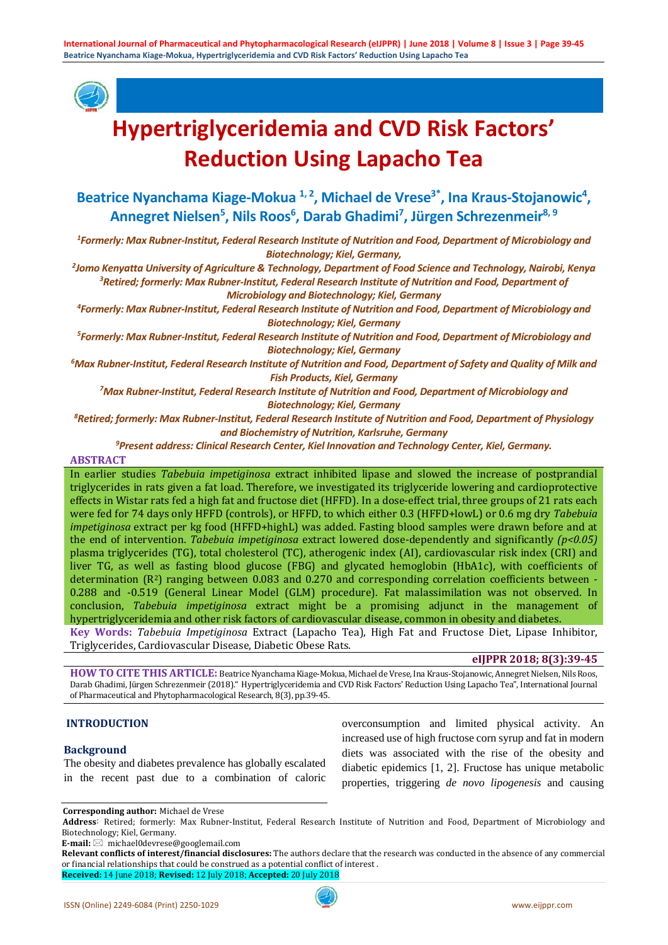

# **Hypertriglyceridemia and CVD Risk Factors' Reduction Using Lapacho Tea**

# Beatrice Nyanchama Kiage-Mokua <sup>1, 2</sup>, Michael de Vrese<sup>3\*</sup>, Ina Kraus-Stojanowic<sup>4</sup>, Annegret Nielsen<sup>5</sup>, Nils Roos<sup>6</sup>, Darab Ghadimi<sup>7</sup>, Jürgen Schrezenmeir<sup>8, 9</sup>

*1 Formerly: Max Rubner-Institut, Federal Research Institute of Nutrition and Food, Department of Microbiology and Biotechnology; Kiel, Germany,*

*2 Jomo Kenyatta University of Agriculture & Technology, Department of Food Science and Technology, Nairobi, Kenya 3 Retired; formerly: Max Rubner-Institut, Federal Research Institute of Nutrition and Food, Department of Microbiology and Biotechnology; Kiel, Germany*

*4 Formerly: Max Rubner-Institut, Federal Research Institute of Nutrition and Food, Department of Microbiology and Biotechnology; Kiel, Germany*

*5 Formerly: Max Rubner-Institut, Federal Research Institute of Nutrition and Food, Department of Microbiology and Biotechnology; Kiel, Germany*

*6 Max Rubner-Institut, Federal Research Institute of Nutrition and Food, Department of Safety and Quality of Milk and Fish Products, Kiel, Germany*

*7 Max Rubner-Institut, Federal Research Institute of Nutrition and Food, Department of Microbiology and Biotechnology; Kiel, Germany*

*8 Retired; formerly: Max Rubner-Institut, Federal Research Institute of Nutrition and Food, Department of Physiology and Biochemistry of Nutrition, Karlsruhe, Germany*

*9 Present address: Clinical Research Center, Kiel Innovation and Technology Center, Kiel, Germany.*

#### **ABSTRACT**

In earlier studies *Tabebuia impetiginosa* extract inhibited lipase and slowed the increase of postprandial triglycerides in rats given a fat load. Therefore, we investigated its triglyceride lowering and cardioprotective effects in Wistar rats fed a high fat and fructose diet (HFFD). In a dose-effect trial, three groups of 21 rats each were fed for 74 days only HFFD (controls), or HFFD, to which either 0.3 (HFFD+lowL) or 0.6 mg dry *Tabebuia impetiginosa* extract per kg food (HFFD+highL) was added. Fasting blood samples were drawn before and at the end of intervention. *Tabebuia impetiginosa* extract lowered dose-dependently and significantly *(p<0.05)*  plasma triglycerides (TG), total cholesterol (TC), atherogenic index (AI), cardiovascular risk index (CRI) and liver TG, as well as fasting blood glucose (FBG) and glycated hemoglobin (HbA1c), with coefficients of determination  $(R<sup>2</sup>)$  ranging between 0.083 and 0.270 and corresponding correlation coefficients between -0.288 and -0.519 (General Linear Model (GLM) procedure). Fat malassimilation was not observed. In conclusion, *Tabebuia impetiginosa* extract might be a promising adjunct in the management of hypertriglyceridemia and other risk factors of cardiovascular disease, common in obesity and diabetes. **Key Words:** *Tabebuia Impetiginosa* Extract (Lapacho Tea), High Fat and Fructose Diet, Lipase Inhibitor,

Triglycerides, Cardiovascular Disease, Diabetic Obese Rats.

#### **eIJPPR 2018; 8(3):39-45**

HOW TO CITE THIS ARTICLE: Beatrice Nyanchama Kiage-Mokua, Michael de Vrese, Ina Kraus-Stojanowic, Annegret Nielsen, Nils Roos, Darab Ghadimi, Jürgen Schrezenmeir (2018)." Hypertriglyceridemia and CVD Risk Factors' Reduction Using Lapacho Tea", International Journal of Pharmaceutical and Phytopharmacological Research, 8(3), pp.39-45.

#### **INTRODUCTION**

#### **Background**

The obesity and diabetes prevalence has globally escalated in the recent past due to a combination of caloric

overconsumption and limited physical activity. An increased use of high fructose corn syrup and fat in modern diets was associated with the rise of the obesity and diabetic epidemics [1, 2]. Fructose has unique metabolic properties, triggering *de novo lipogenesis* and causing

**Corresponding author:** Michael de Vrese

 **Address**: Retired; formerly: Max Rubner-Institut, Federal Research Institute of Nutrition and Food, Department of Microbiology and Biotechnology; Kiel, Germany.

**E-mail:** michael0devrese@googlemail.com

**Relevant conflicts of interest/financial disclosures:** The authors declare that the research was conducted in the absence of any commercial or financial relationships that could be construed as a potential conflict of interest . **Received:** 14 June 2018; **Revised:** 12 July 2018; **Accepted:** 20 July 2018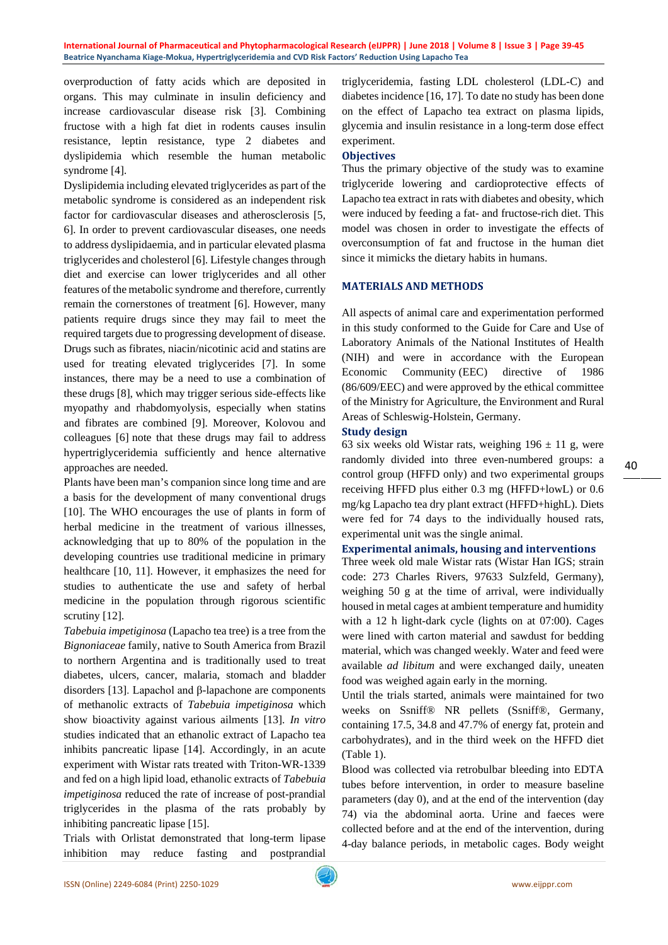**International Journal of Pharmaceutical and Phytopharmacological Research (eIJPPR) | June 2018 | Volume 8 | Issue 3 | Page 39-45 Beatrice Nyanchama Kiage-Mokua, Hypertriglyceridemia and CVD Risk Factors' Reduction Using Lapacho Tea**

overproduction of fatty acids which are deposited in organs. This may culminate in insulin deficiency and increase cardiovascular disease risk [3]. Combining fructose with a high fat diet in rodents causes insulin resistance, leptin resistance, type 2 diabetes and dyslipidemia which resemble the human metabolic syndrome [4].

Dyslipidemia including elevated triglycerides as part of the metabolic syndrome is considered as an independent risk factor for cardiovascular diseases and atherosclerosis [5, 6]. In order to prevent cardiovascular diseases, one needs to address dyslipidaemia, and in particular elevated plasma triglycerides and cholesterol [6]. Lifestyle changes through diet and exercise can lower triglycerides and all other features of the metabolic syndrome and therefore, currently remain the cornerstones of treatment [6]. However, many patients require drugs since they may fail to meet the required targets due to progressing development of disease. Drugs such as fibrates, niacin/nicotinic acid and statins are used for treating elevated triglycerides [7]. In some instances, there may be a need to use a combination of these drugs [8], which may trigger serious side-effects like myopathy and rhabdomyolysis, especially when statins and fibrates are combined [9]. Moreover, Kolovou and colleagues [6] note that these drugs may fail to address hypertriglyceridemia sufficiently and hence alternative approaches are needed.

Plants have been man's companion since long time and are a basis for the development of many conventional drugs [10]. The WHO encourages the use of plants in form of herbal medicine in the treatment of various illnesses, acknowledging that up to 80% of the population in the developing countries use traditional medicine in primary healthcare [10, 11]. However, it emphasizes the need for studies to authenticate the use and safety of herbal medicine in the population through rigorous scientific scrutiny [12].

*Tabebuia impetiginosa* (Lapacho tea tree) is a tree from the *Bignoniaceae* family, native to South America from Brazil to northern Argentina and is traditionally used to treat diabetes, ulcers, cancer, malaria, stomach and bladder disorders [13]. Lapachol and β-lapachone are components of methanolic extracts of *Tabebuia impetiginosa* which show bioactivity against various ailments [13]. *In vitro* studies indicated that an ethanolic extract of Lapacho tea inhibits pancreatic lipase [14]. Accordingly, in an acute experiment with Wistar rats treated with Triton-WR-1339 and fed on a high lipid load, ethanolic extracts of *Tabebuia impetiginosa* reduced the rate of increase of post-prandial triglycerides in the plasma of the rats probably by inhibiting pancreatic lipase [15].

Trials with Orlistat demonstrated that long-term lipase inhibition may reduce fasting and postprandial

triglyceridemia, fasting LDL cholesterol (LDL-C) and diabetes incidence [16, 17]. To date no study has been done on the effect of Lapacho tea extract on plasma lipids, glycemia and insulin resistance in a long-term dose effect experiment.

#### **Objectives**

Thus the primary objective of the study was to examine triglyceride lowering and cardioprotective effects of Lapacho tea extract in rats with diabetes and obesity, which were induced by feeding a fat- and fructose-rich diet. This model was chosen in order to investigate the effects of overconsumption of fat and fructose in the human diet since it mimicks the dietary habits in humans.

#### **MATERIALS AND METHODS**

All aspects of animal care and experimentation performed in this study conformed to the Guide for Care and Use of Laboratory Animals of the National Institutes of Health (NIH) and were in accordance with the European Economic Community (EEC) directive of 1986 (86/609/EEC) and were approved by the ethical committee of the Ministry for Agriculture, the Environment and Rural Areas of Schleswig-Holstein, Germany.

#### **Study design**

63 six weeks old Wistar rats, weighing  $196 \pm 11$  g, were randomly divided into three even-numbered groups: a control group (HFFD only) and two experimental groups receiving HFFD plus either 0.3 mg (HFFD+lowL) or 0.6 mg/kg Lapacho tea dry plant extract (HFFD+highL). Diets were fed for 74 days to the individually housed rats, experimental unit was the single animal.

#### **Experimental animals, housing and interventions**

Three week old male Wistar rats (Wistar Han IGS; strain code: 273 Charles Rivers, 97633 Sulzfeld, Germany), weighing 50 g at the time of arrival, were individually housed in metal cages at ambient temperature and humidity with a 12 h light-dark cycle (lights on at 07:00). Cages were lined with carton material and sawdust for bedding material, which was changed weekly. Water and feed were available *ad libitum* and were exchanged daily, uneaten food was weighed again early in the morning.

Until the trials started, animals were maintained for two weeks on Ssniff® NR pellets (Ssniff®, Germany, containing 17.5, 34.8 and 47.7% of energy fat, protein and carbohydrates), and in the third week on the HFFD diet (Table 1).

Blood was collected via retrobulbar bleeding into EDTA tubes before intervention, in order to measure baseline parameters (day 0), and at the end of the intervention (day 74) via the abdominal aorta. Urine and faeces were collected before and at the end of the intervention, during 4-day balance periods, in metabolic cages. Body weight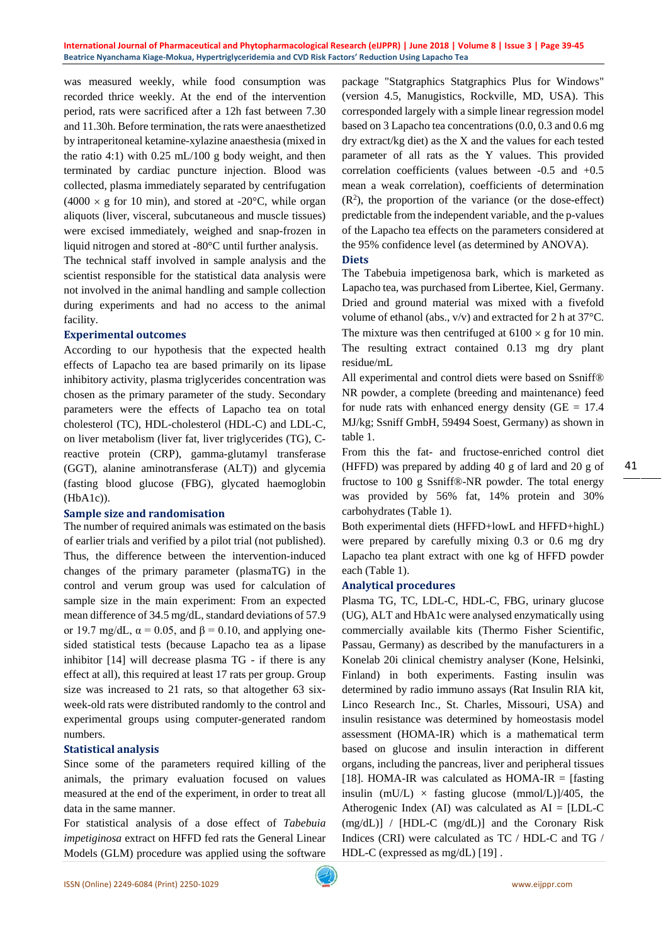was measured weekly, while food consumption was recorded thrice weekly. At the end of the intervention period, rats were sacrificed after a 12h fast between 7.30 and 11.30h. Before termination, the rats were anaesthetized by intraperitoneal ketamine-xylazine anaesthesia (mixed in the ratio 4:1) with  $0.25$  mL/100 g body weight, and then terminated by cardiac puncture injection. Blood was collected, plasma immediately separated by centrifugation  $(4000 \times g$  for 10 min), and stored at -20 $^{\circ}$ C, while organ aliquots (liver, visceral, subcutaneous and muscle tissues) were excised immediately, weighed and snap-frozen in liquid nitrogen and stored at -80°C until further analysis.

The technical staff involved in sample analysis and the scientist responsible for the statistical data analysis were not involved in the animal handling and sample collection during experiments and had no access to the animal facility.

#### **Experimental outcomes**

According to our hypothesis that the expected health effects of Lapacho tea are based primarily on its lipase inhibitory activity, plasma triglycerides concentration was chosen as the primary parameter of the study. Secondary parameters were the effects of Lapacho tea on total cholesterol (TC), HDL-cholesterol (HDL-C) and LDL-C, on liver metabolism (liver fat, liver triglycerides (TG), Creactive protein (CRP), gamma-glutamyl transferase (GGT), alanine aminotransferase (ALT)) and glycemia (fasting blood glucose (FBG), glycated haemoglobin (HbA1c)).

#### **Sample size and randomisation**

The number of required animals was estimated on the basis of earlier trials and verified by a pilot trial (not published). Thus, the difference between the intervention-induced changes of the primary parameter (plasmaTG) in the control and verum group was used for calculation of sample size in the main experiment: From an expected mean difference of 34.5 mg/dL, standard deviations of 57.9 or 19.7 mg/dL,  $\alpha = 0.05$ , and  $\beta = 0.10$ , and applying onesided statistical tests (because Lapacho tea as a lipase inhibitor [14] will decrease plasma TG - if there is any effect at all), this required at least 17 rats per group. Group size was increased to 21 rats, so that altogether 63 sixweek-old rats were distributed randomly to the control and experimental groups using computer-generated random numbers.

# **Statistical analysis**

Since some of the parameters required killing of the animals, the primary evaluation focused on values measured at the end of the experiment, in order to treat all data in the same manner.

For statistical analysis of a dose effect of *Tabebuia impetiginosa* extract on HFFD fed rats the General Linear Models (GLM) procedure was applied using the software

package "Statgraphics Statgraphics Plus for Windows" (version 4.5, Manugistics, Rockville, MD, USA). This corresponded largely with a simple linear regression model based on 3 Lapacho tea concentrations (0.0, 0.3 and 0.6 mg dry extract/kg diet) as the X and the values for each tested parameter of all rats as the Y values. This provided correlation coefficients (values between -0.5 and +0.5 mean a weak correlation), coefficients of determination  $(R<sup>2</sup>)$ , the proportion of the variance (or the dose-effect) predictable from the independent variable, and the p-values of the Lapacho tea effects on the parameters considered at the 95% confidence level (as determined by ANOVA).

#### **Diets**

The Tabebuia impetigenosa bark, which is marketed as Lapacho tea, was purchased from Libertee, Kiel, Germany. Dried and ground material was mixed with a fivefold volume of ethanol (abs., v/v) and extracted for 2 h at 37°C. The mixture was then centrifuged at  $6100 \times g$  for 10 min. The resulting extract contained 0.13 mg dry plant residue/mL

All experimental and control diets were based on Ssniff® NR powder, a complete (breeding and maintenance) feed for nude rats with enhanced energy density ( $GE = 17.4$ ) MJ/kg; Ssniff GmbH, 59494 Soest, Germany) as shown in table 1.

From this the fat- and fructose-enriched control diet (HFFD) was prepared by adding 40 g of lard and 20 g of fructose to 100 g Ssniff®-NR powder. The total energy was provided by 56% fat, 14% protein and 30% carbohydrates (Table 1).

Both experimental diets (HFFD+lowL and HFFD+highL) were prepared by carefully mixing 0.3 or 0.6 mg dry Lapacho tea plant extract with one kg of HFFD powder each (Table 1).

# **Analytical procedures**

Plasma TG, TC, LDL-C, HDL-C, FBG, urinary glucose (UG), ALT and HbA1c were analysed enzymatically using commercially available kits (Thermo Fisher Scientific, Passau, Germany) as described by the manufacturers in a Konelab 20i clinical chemistry analyser (Kone, Helsinki, Finland) in both experiments. Fasting insulin was determined by radio immuno assays (Rat Insulin RIA kit, Linco Research Inc., St. Charles, Missouri, USA) and insulin resistance was determined by homeostasis model assessment (HOMA-IR) which is a mathematical term based on glucose and insulin interaction in different organs, including the pancreas, liver and peripheral tissues [18]. HOMA-IR was calculated as  $HOMA-IR =$  [fasting insulin (mU/L)  $\times$  fasting glucose (mmol/L)]/405, the Atherogenic Index (AI) was calculated as  $AI = [LDL-C]$ (mg/dL)] / [HDL-C (mg/dL)] and the Coronary Risk Indices (CRI) were calculated as TC / HDL-C and TG / HDL-C (expressed as mg/dL) [19] .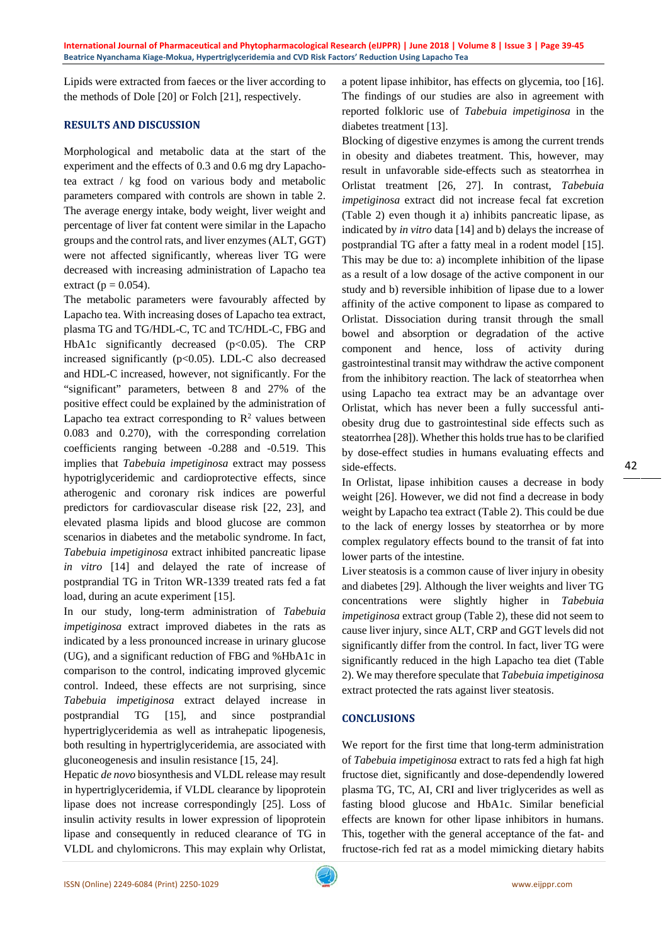Lipids were extracted from faeces or the liver according to the methods of Dole [20] or Folch [21], respectively.

## **RESULTS AND DISCUSSION**

Morphological and metabolic data at the start of the experiment and the effects of 0.3 and 0.6 mg dry Lapachotea extract / kg food on various body and metabolic parameters compared with controls are shown in table 2. The average energy intake, body weight, liver weight and percentage of liver fat content were similar in the Lapacho groups and the control rats, and liver enzymes (ALT, GGT) were not affected significantly, whereas liver TG were decreased with increasing administration of Lapacho tea extract ( $p = 0.054$ ).

The metabolic parameters were favourably affected by Lapacho tea. With increasing doses of Lapacho tea extract, plasma TG and TG/HDL-C, TC and TC/HDL-C, FBG and HbA1c significantly decreased  $(p<0.05)$ . The CRP increased significantly (p<0.05). LDL-C also decreased and HDL-C increased, however, not significantly. For the "significant" parameters, between 8 and 27% of the positive effect could be explained by the administration of Lapacho tea extract corresponding to  $\mathbb{R}^2$  values between 0.083 and 0.270), with the corresponding correlation coefficients ranging between -0.288 and -0.519. This implies that *Tabebuia impetiginosa* extract may possess hypotriglyceridemic and cardioprotective effects, since atherogenic and coronary risk indices are powerful predictors for cardiovascular disease risk [22, 23], and elevated plasma lipids and blood glucose are common scenarios in diabetes and the metabolic syndrome. In fact, *Tabebuia impetiginosa* extract inhibited pancreatic lipase *in vitro* [14] and delayed the rate of increase of postprandial TG in Triton WR-1339 treated rats fed a fat load, during an acute experiment [15].

In our study, long-term administration of *Tabebuia impetiginosa* extract improved diabetes in the rats as indicated by a less pronounced increase in urinary glucose (UG), and a significant reduction of FBG and %HbA1c in comparison to the control, indicating improved glycemic control. Indeed, these effects are not surprising, since *Tabebuia impetiginosa* extract delayed increase in postprandial TG [15], and since postprandial hypertriglyceridemia as well as intrahepatic lipogenesis, both resulting in hypertriglyceridemia, are associated with gluconeogenesis and insulin resistance [15, 24].

Hepatic *de novo* biosynthesis and VLDL release may result in hypertriglyceridemia, if VLDL clearance by lipoprotein lipase does not increase correspondingly [25]. Loss of insulin activity results in lower expression of lipoprotein lipase and consequently in reduced clearance of TG in VLDL and chylomicrons. This may explain why Orlistat,

a potent lipase inhibitor, has effects on glycemia, too [16]. The findings of our studies are also in agreement with reported folkloric use of *Tabebuia impetiginosa* in the diabetes treatment [13].

Blocking of digestive enzymes is among the current trends in obesity and diabetes treatment. This, however, may result in unfavorable side-effects such as steatorrhea in Orlistat treatment [26, 27]. In contrast, *Tabebuia impetiginosa* extract did not increase fecal fat excretion (Table 2) even though it a) inhibits pancreatic lipase, as indicated by *in vitro* data [14] and b) delays the increase of postprandial TG after a fatty meal in a rodent model [15]. This may be due to: a) incomplete inhibition of the lipase as a result of a low dosage of the active component in our study and b) reversible inhibition of lipase due to a lower affinity of the active component to lipase as compared to Orlistat. Dissociation during transit through the small bowel and absorption or degradation of the active component and hence, loss of activity during gastrointestinal transit may withdraw the active component from the inhibitory reaction. The lack of steatorrhea when using Lapacho tea extract may be an advantage over Orlistat, which has never been a fully successful antiobesity drug due to gastrointestinal side effects such as steatorrhea [28]). Whether this holds true has to be clarified by dose-effect studies in humans evaluating effects and side-effects.

In Orlistat, lipase inhibition causes a decrease in body weight [26]. However, we did not find a decrease in body weight by Lapacho tea extract (Table 2). This could be due to the lack of energy losses by steatorrhea or by more complex regulatory effects bound to the transit of fat into lower parts of the intestine.

Liver steatosis is a common cause of liver injury in obesity and diabetes [29]. Although the liver weights and liver TG concentrations were slightly higher in *Tabebuia impetiginosa* extract group (Table 2), these did not seem to cause liver injury, since ALT, CRP and GGT levels did not significantly differ from the control. In fact, liver TG were significantly reduced in the high Lapacho tea diet (Table 2). We may therefore speculate that *Tabebuia impetiginosa* extract protected the rats against liver steatosis.

# **CONCLUSIONS**

We report for the first time that long-term administration of *Tabebuia impetiginosa* extract to rats fed a high fat high fructose diet, significantly and dose-dependendly lowered plasma TG, TC, AI, CRI and liver triglycerides as well as fasting blood glucose and HbA1c. Similar beneficial effects are known for other lipase inhibitors in humans. This, together with the general acceptance of the fat- and fructose-rich fed rat as a model mimicking dietary habits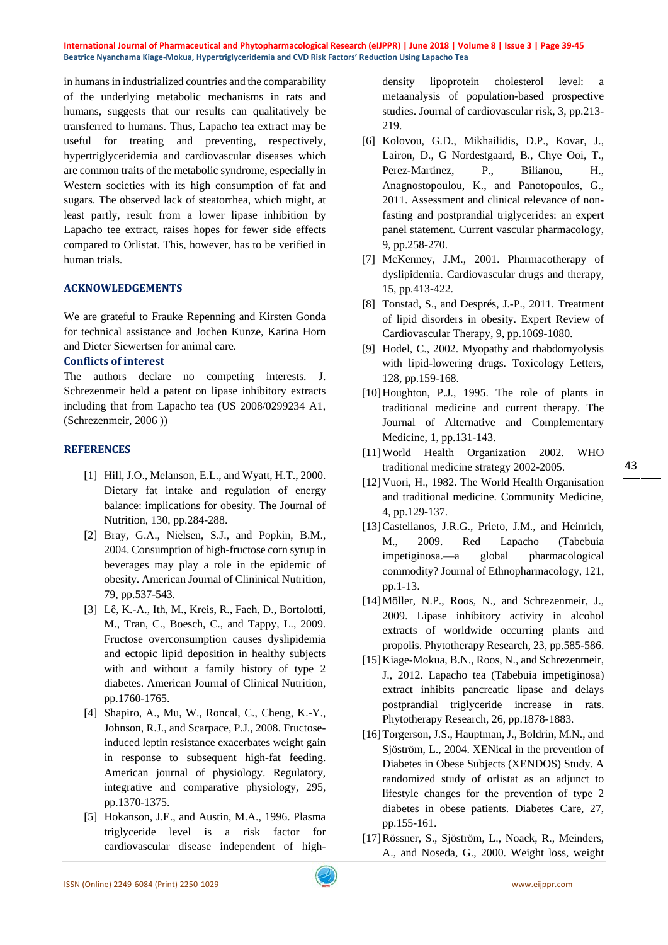**International Journal of Pharmaceutical and Phytopharmacological Research (eIJPPR) | June 2018 | Volume 8 | Issue 3 | Page 39-45 Beatrice Nyanchama Kiage-Mokua, Hypertriglyceridemia and CVD Risk Factors' Reduction Using Lapacho Tea**

in humans in industrialized countries and the comparability of the underlying metabolic mechanisms in rats and humans, suggests that our results can qualitatively be transferred to humans. Thus, Lapacho tea extract may be useful for treating and preventing, respectively, hypertriglyceridemia and cardiovascular diseases which are common traits of the metabolic syndrome, especially in Western societies with its high consumption of fat and sugars. The observed lack of steatorrhea, which might, at least partly, result from a lower lipase inhibition by Lapacho tee extract, raises hopes for fewer side effects compared to Orlistat. This, however, has to be verified in human trials.

#### **ACKNOWLEDGEMENTS**

We are grateful to Frauke Repenning and Kirsten Gonda for technical assistance and Jochen Kunze, Karina Horn and Dieter Siewertsen for animal care.

#### **Conflicts of interest**

The authors declare no competing interests. J. Schrezenmeir held a patent on lipase inhibitory extracts including that from Lapacho tea (US 2008/0299234 A1, (Schrezenmeir, 2006 ))

## **REFERENCES**

- [1] Hill, J.O., Melanson, E.L., and Wyatt, H.T., 2000. Dietary fat intake and regulation of energy balance: implications for obesity. The Journal of Nutrition, 130, pp.284-288.
- [2] Bray, G.A., Nielsen, S.J., and Popkin, B.M., 2004. Consumption of high-fructose corn syrup in beverages may play a role in the epidemic of obesity. American Journal of Clininical Nutrition, 79, pp.537-543.
- [3] Lê, K.-A., Ith, M., Kreis, R., Faeh, D., Bortolotti, M., Tran, C., Boesch, C., and Tappy, L., 2009. Fructose overconsumption causes dyslipidemia and ectopic lipid deposition in healthy subjects with and without a family history of type 2 diabetes. American Journal of Clinical Nutrition, pp.1760-1765.
- [4] Shapiro, A., Mu, W., Roncal, C., Cheng, K.-Y., Johnson, R.J., and Scarpace, P.J., 2008. Fructoseinduced leptin resistance exacerbates weight gain in response to subsequent high-fat feeding. American journal of physiology. Regulatory, integrative and comparative physiology, 295, pp.1370-1375.
- [5] Hokanson, J.E., and Austin, M.A., 1996. Plasma triglyceride level is a risk factor for cardiovascular disease independent of high-

density lipoprotein cholesterol level: metaanalysis of population-based prospective studies. Journal of cardiovascular risk, 3, pp.213- 219.

- [6] Kolovou, G.D., Mikhailidis, D.P., Kovar, J., Lairon, D., G Nordestgaard, B., Chye Ooi, T., Perez-Martinez, P., Bilianou, H., Anagnostopoulou, K., and Panotopoulos, G., 2011. Assessment and clinical relevance of nonfasting and postprandial triglycerides: an expert panel statement. Current vascular pharmacology, 9, pp.258-270.
- [7] McKenney, J.M., 2001. Pharmacotherapy of dyslipidemia. Cardiovascular drugs and therapy, 15, pp.413-422.
- [8] Tonstad, S., and Després, J.-P., 2011. Treatment of lipid disorders in obesity. Expert Review of Cardiovascular Therapy, 9, pp.1069-1080.
- [9] Hodel, C., 2002. Myopathy and rhabdomyolysis with lipid-lowering drugs. Toxicology Letters, 128, pp.159-168.
- [10] Houghton, P.J., 1995. The role of plants in traditional medicine and current therapy. The Journal of Alternative and Complementary Medicine, 1, pp.131-143.
- [11]World Health Organization 2002. WHO traditional medicine strategy 2002-2005.
- [12]Vuori, H., 1982. The World Health Organisation and traditional medicine. Community Medicine, 4, pp.129-137.
- [13]Castellanos, J.R.G., Prieto, J.M., and Heinrich, M., 2009. Red Lapacho (Tabebuia impetiginosa.—a global pharmacological commodity? Journal of Ethnopharmacology, 121, pp.1-13.
- [14] Möller, N.P., Roos, N., and Schrezenmeir, J., 2009. Lipase inhibitory activity in alcohol extracts of worldwide occurring plants and propolis. Phytotherapy Research, 23, pp.585-586.
- [15] Kiage-Mokua, B.N., Roos, N., and Schrezenmeir, J., 2012. Lapacho tea (Tabebuia impetiginosa) extract inhibits pancreatic lipase and delays postprandial triglyceride increase in rats. Phytotherapy Research, 26, pp.1878-1883.
- [16] Torgerson, J.S., Hauptman, J., Boldrin, M.N., and Sjöström, L., 2004. XENical in the prevention of Diabetes in Obese Subjects (XENDOS) Study. A randomized study of orlistat as an adjunct to lifestyle changes for the prevention of type 2 diabetes in obese patients. Diabetes Care, 27, pp.155-161.
- [17]Rössner, S., Sjöström, L., Noack, R., Meinders, A., and Noseda, G., 2000. Weight loss, weight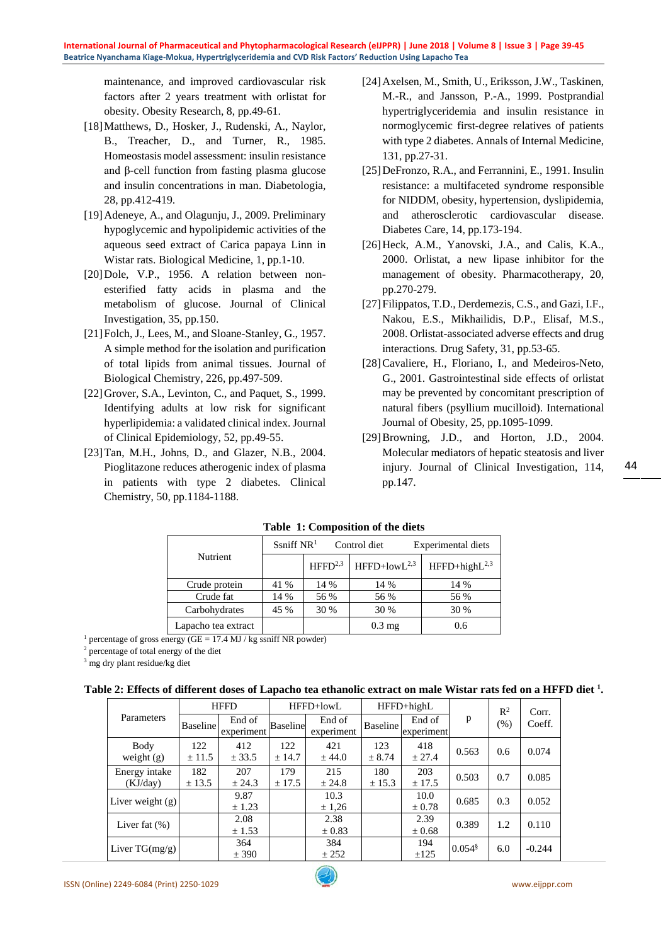maintenance, and improved cardiovascular risk factors after 2 years treatment with orlistat for obesity. Obesity Research, 8, pp.49-61.

- [18]Matthews, D., Hosker, J., Rudenski, A., Naylor, B., Treacher, D., and Turner, R., 1985. Homeostasis model assessment: insulin resistance and β-cell function from fasting plasma glucose and insulin concentrations in man. Diabetologia, 28, pp.412-419.
- [19]Adeneye, A., and Olagunju, J., 2009. Preliminary hypoglycemic and hypolipidemic activities of the aqueous seed extract of Carica papaya Linn in Wistar rats. Biological Medicine, 1, pp.1-10.
- [20]Dole, V.P., 1956. A relation between nonesterified fatty acids in plasma and the metabolism of glucose. Journal of Clinical Investigation, 35, pp.150.
- [21] Folch, J., Lees, M., and Sloane-Stanley, G., 1957. A simple method for the isolation and purification of total lipids from animal tissues. Journal of Biological Chemistry, 226, pp.497-509.
- [22] Grover, S.A., Levinton, C., and Paquet, S., 1999. Identifying adults at low risk for significant hyperlipidemia: a validated clinical index. Journal of Clinical Epidemiology, 52, pp.49-55.
- [23]Tan, M.H., Johns, D., and Glazer, N.B., 2004. Pioglitazone reduces atherogenic index of plasma in patients with type 2 diabetes. Clinical Chemistry, 50, pp.1184-1188.
- [24]Axelsen, M., Smith, U., Eriksson, J.W., Taskinen, M.-R., and Jansson, P.-A., 1999. Postprandial hypertriglyceridemia and insulin resistance in normoglycemic first-degree relatives of patients with type 2 diabetes. Annals of Internal Medicine, 131, pp.27-31.
- [25] DeFronzo, R.A., and Ferrannini, E., 1991. Insulin resistance: a multifaceted syndrome responsible for NIDDM, obesity, hypertension, dyslipidemia, and atherosclerotic cardiovascular disease. Diabetes Care, 14, pp.173-194.
- [26]Heck, A.M., Yanovski, J.A., and Calis, K.A., 2000. Orlistat, a new lipase inhibitor for the management of obesity. Pharmacotherapy, 20, pp.270-279.
- [27]Filippatos, T.D., Derdemezis, C.S., and Gazi, I.F., Nakou, E.S., Mikhailidis, D.P., Elisaf, M.S., 2008. Orlistat-associated adverse effects and drug interactions. Drug Safety, 31, pp.53-65.
- [28]Cavaliere, H., Floriano, I., and Medeiros-Neto, G., 2001. Gastrointestinal side effects of orlistat may be prevented by concomitant prescription of natural fibers (psyllium mucilloid). International Journal of Obesity, 25, pp.1095-1099.
- [29]Browning, J.D., and Horton, J.D., 2004. Molecular mediators of hepatic steatosis and liver injury. Journal of Clinical Investigation, 114, pp.147.

|                     | Ssniff $NR1$ |                     | Control diet     | Experimental diets |  |
|---------------------|--------------|---------------------|------------------|--------------------|--|
| Nutrient            |              | HFFD <sup>2,3</sup> | $HFFD+lowL2,3$   | $HFFD+highL2,3$    |  |
| Crude protein       | 41 %         | 14 %                | 14 %             | 14 %               |  |
| Crude fat           | 14 %         | 56 %                | 56 %             | 56 %               |  |
| Carbohydrates       | 45 %         | 30 %                | 30 %             | 30 %               |  |
| Lapacho tea extract |              |                     | $0.3 \text{ mg}$ | 0.6                |  |

**Table 1: Composition of the diets**

<sup>1</sup> percentage of gross energy (GE = 17.4 MJ / kg ssniff NR powder)

<sup>2</sup> percentage of total energy of the diet

<sup>3</sup> mg dry plant residue/kg diet

|  | Table 2: Effects of different doses of Lapacho tea ethanolic extract on male Wistar rats fed on a HFFD diet <sup>1</sup> . |
|--|----------------------------------------------------------------------------------------------------------------------------|
|--|----------------------------------------------------------------------------------------------------------------------------|

|                           | <b>HFFD</b>       |                      | HFFD+lowL       |                      | HFFD+highL      |                      |                      | $R^2$ | Corr.    |
|---------------------------|-------------------|----------------------|-----------------|----------------------|-----------------|----------------------|----------------------|-------|----------|
| Parameters                | <b>Baseline</b>   | End of<br>experiment | <b>Baseline</b> | End of<br>experiment | <b>Baseline</b> | End of<br>experiment | p                    | (% )  | Coeff.   |
| Body<br>weight $(g)$      | 122<br>± 11.5     | 412<br>± 33.5        | 122<br>± 14.7   | 421<br>± 44.0        | 123<br>± 8.74   | 418<br>± 27.4        | 0.563                | 0.6   | 0.074    |
| Energy intake<br>(KJ/day) | 182<br>$\pm$ 13.5 | 207<br>± 24.3        | 179<br>± 17.5   | 215<br>± 24.8        | 180<br>± 15.3   | 203<br>± 17.5        | 0.503                | 0.7   | 0.085    |
| Liver weight (g)          |                   | 9.87<br>± 1.23       |                 | 10.3<br>± 1,26       |                 | 10.0<br>$\pm 0.78$   | 0.685                | 0.3   | 0.052    |
| Liver fat $(\%)$          |                   | 2.08<br>± 1.53       |                 | 2.38<br>$\pm 0.83$   |                 | 2.39<br>$\pm 0.68$   | 0.389                | 1.2   | 0.110    |
| Liver $TG(mg/g)$          |                   | 364<br>± 390         |                 | 384<br>± 252         |                 | 194<br>±125          | $0.054$ <sup>§</sup> | 6.0   | $-0.244$ |